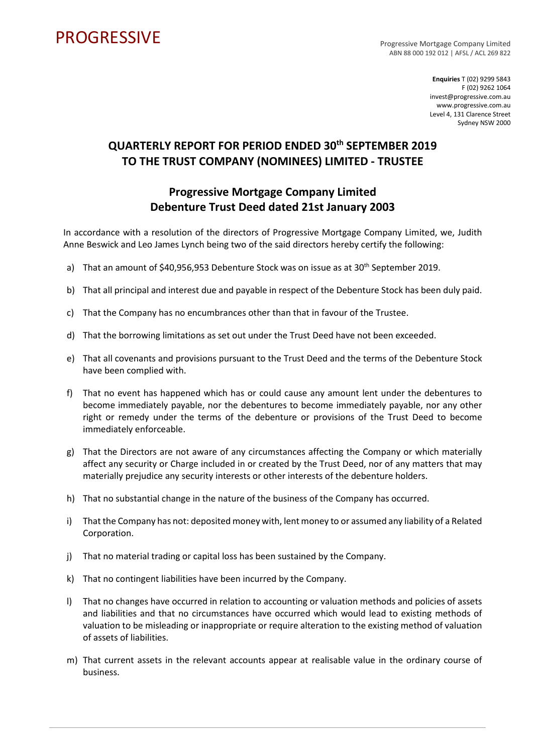## **PROGRESSIVE**

Progressive Mortgage Company Limited ABN 88 000 192 012 | AFSL / ACL 269 822

> **Enquiries** T (02) 9299 5843 F (02) 9262 1064 invest@progressive.com.au www.progressive.com.au Level 4, 131 Clarence Street Sydney NSW 2000

## **QUARTERLY REPORT FOR PERIOD ENDED 30th SEPTEMBER 2019 TO THE TRUST COMPANY (NOMINEES) LIMITED - TRUSTEE**

## **Progressive Mortgage Company Limited Debenture Trust Deed dated 21st January 2003**

In accordance with a resolution of the directors of Progressive Mortgage Company Limited, we, Judith Anne Beswick and Leo James Lynch being two of the said directors hereby certify the following:

- a) That an amount of \$40,956,953 Debenture Stock was on issue as at 30<sup>th</sup> September 2019.
- b) That all principal and interest due and payable in respect of the Debenture Stock has been duly paid.
- c) That the Company has no encumbrances other than that in favour of the Trustee.
- d) That the borrowing limitations as set out under the Trust Deed have not been exceeded.
- e) That all covenants and provisions pursuant to the Trust Deed and the terms of the Debenture Stock have been complied with.
- f) That no event has happened which has or could cause any amount lent under the debentures to become immediately payable, nor the debentures to become immediately payable, nor any other right or remedy under the terms of the debenture or provisions of the Trust Deed to become immediately enforceable.
- g) That the Directors are not aware of any circumstances affecting the Company or which materially affect any security or Charge included in or created by the Trust Deed, nor of any matters that may materially prejudice any security interests or other interests of the debenture holders.
- h) That no substantial change in the nature of the business of the Company has occurred.
- i) That the Company has not: deposited money with, lent money to or assumed any liability of a Related Corporation.
- j) That no material trading or capital loss has been sustained by the Company.
- k) That no contingent liabilities have been incurred by the Company.
- l) That no changes have occurred in relation to accounting or valuation methods and policies of assets and liabilities and that no circumstances have occurred which would lead to existing methods of valuation to be misleading or inappropriate or require alteration to the existing method of valuation of assets of liabilities.
- m) That current assets in the relevant accounts appear at realisable value in the ordinary course of business.